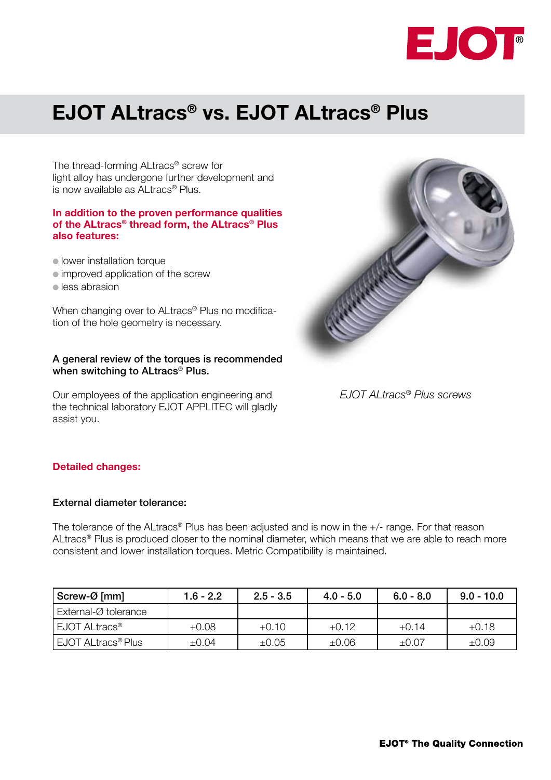

# **EJOT ALtracs® vs. EJOT ALtracs® Plus**

The thread-forming ALtracs® screw for light alloy has undergone further development and is now available as ALtracs® Plus.

#### **In addition to the proven performance qualities of the ALtracs® thread form, the ALtracs® Plus also features:**

**I** lower installation torque

- $\bullet$  improved application of the screw
- $\bullet$  less abrasion

When changing over to ALtracs<sup>®</sup> Plus no modification of the hole geometry is necessary.

#### A general review of the torques is recommended when switching to ALtracs<sup>®</sup> Plus.

Our employees of the application engineering and the technical laboratory EJOT APPLITEC will gladly assist you.



*EJOT ALtracs® Plus screws*

## **Detailed changes:**

## External diameter tolerance:

The tolerance of the ALtracs® Plus has been adjusted and is now in the +/- range. For that reason ALtracs® Plus is produced closer to the nominal diameter, which means that we are able to reach more consistent and lower installation torques. Metric Compatibility is maintained.

| Screw-Ø [mm]                    | $1.6 - 2.2$ | $2.5 - 3.5$ | $4.0 - 5.0$ | $6.0 - 8.0$ | $9.0 - 10.0$ |
|---------------------------------|-------------|-------------|-------------|-------------|--------------|
| External-Ø tolerance            |             |             |             |             |              |
| EJOT ALtracs <sup>®</sup>       | +0.08       | $+0.10$     | $+0.12$     | $+0.14$     | $+0.18$      |
| <sup>1</sup> EJOT ALtracs® Plus | ±0.04       | $\pm 0.05$  | $\pm 0.06$  | $\pm 0.07$  | ±0.09        |